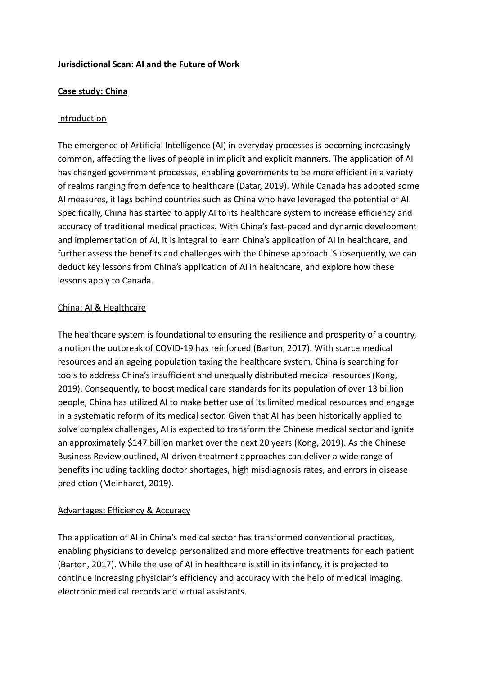#### **Jurisdictional Scan: AI and the Future of Work**

#### **Case study: China**

#### **Introduction**

The emergence of Artificial Intelligence (AI) in everyday processes is becoming increasingly common, affecting the lives of people in implicit and explicit manners. The application of AI has changed government processes, enabling governments to be more efficient in a variety of realms ranging from defence to healthcare (Datar, 2019). While Canada has adopted some AI measures, it lags behind countries such as China who have leveraged the potential of AI. Specifically, China has started to apply AI to its healthcare system to increase efficiency and accuracy of traditional medical practices. With China's fast-paced and dynamic development and implementation of AI, it is integral to learn China's application of AI in healthcare, and further assess the benefits and challenges with the Chinese approach. Subsequently, we can deduct key lessons from China's application of AI in healthcare, and explore how these lessons apply to Canada.

#### China: AI & Healthcare

The healthcare system is foundational to ensuring the resilience and prosperity of a country, a notion the outbreak of COVID-19 has reinforced (Barton, 2017). With scarce medical resources and an ageing population taxing the healthcare system, China is searching for tools to address China's insufficient and unequally distributed medical resources (Kong, 2019). Consequently, to boost medical care standards for its population of over 13 billion people, China has utilized AI to make better use of its limited medical resources and engage in a systematic reform of its medical sector. Given that AI has been historically applied to solve complex challenges, AI is expected to transform the Chinese medical sector and ignite an approximately \$147 billion market over the next 20 years (Kong, 2019). As the Chinese Business Review outlined, AI-driven treatment approaches can deliver a wide range of benefits including tackling doctor shortages, high misdiagnosis rates, and errors in disease prediction (Meinhardt, 2019).

#### Advantages: Efficiency & Accuracy

The application of AI in China's medical sector has transformed conventional practices, enabling physicians to develop personalized and more effective treatments for each patient (Barton, 2017). While the use of AI in healthcare is still in its infancy, it is projected to continue increasing physician's efficiency and accuracy with the help of medical imaging, electronic medical records and virtual assistants.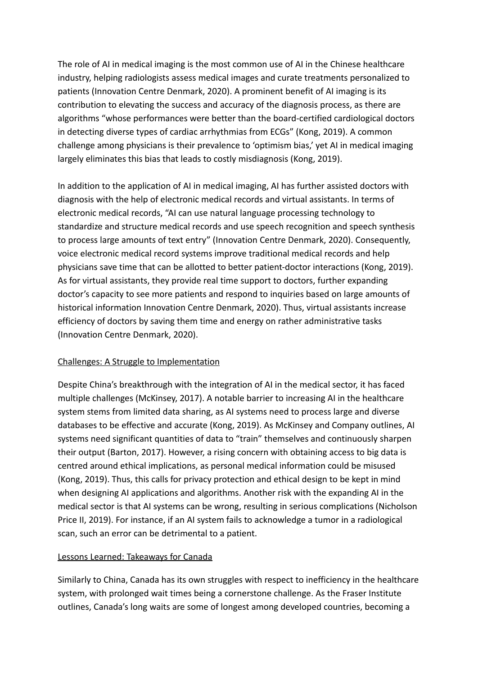The role of AI in medical imaging is the most common use of AI in the Chinese healthcare industry, helping radiologists assess medical images and curate treatments personalized to patients (Innovation Centre Denmark, 2020). A prominent benefit of AI imaging is its contribution to elevating the success and accuracy of the diagnosis process, as there are algorithms "whose performances were better than the board-certified cardiological doctors in detecting diverse types of cardiac arrhythmias from ECGs" (Kong, 2019). A common challenge among physicians is their prevalence to 'optimism bias,' yet AI in medical imaging largely eliminates this bias that leads to costly misdiagnosis (Kong, 2019).

In addition to the application of AI in medical imaging, AI has further assisted doctors with diagnosis with the help of electronic medical records and virtual assistants. In terms of electronic medical records, "AI can use natural language processing technology to standardize and structure medical records and use speech recognition and speech synthesis to process large amounts of text entry" (Innovation Centre Denmark, 2020). Consequently, voice electronic medical record systems improve traditional medical records and help physicians save time that can be allotted to better patient-doctor interactions (Kong, 2019). As for virtual assistants, they provide real time support to doctors, further expanding doctor's capacity to see more patients and respond to inquiries based on large amounts of historical information Innovation Centre Denmark, 2020). Thus, virtual assistants increase efficiency of doctors by saving them time and energy on rather administrative tasks (Innovation Centre Denmark, 2020).

# Challenges: A Struggle to Implementation

Despite China's breakthrough with the integration of AI in the medical sector, it has faced multiple challenges (McKinsey, 2017). A notable barrier to increasing AI in the healthcare system stems from limited data sharing, as AI systems need to process large and diverse databases to be effective and accurate (Kong, 2019). As McKinsey and Company outlines, AI systems need significant quantities of data to "train" themselves and continuously sharpen their output (Barton, 2017). However, a rising concern with obtaining access to big data is centred around ethical implications, as personal medical information could be misused (Kong, 2019). Thus, this calls for privacy protection and ethical design to be kept in mind when designing AI applications and algorithms. Another risk with the expanding AI in the medical sector is that AI systems can be wrong, resulting in serious complications (Nicholson Price II, 2019). For instance, if an AI system fails to acknowledge a tumor in a radiological scan, such an error can be detrimental to a patient.

# Lessons Learned: Takeaways for Canada

Similarly to China, Canada has its own struggles with respect to inefficiency in the healthcare system, with prolonged wait times being a cornerstone challenge. As the Fraser Institute outlines, Canada's long waits are some of longest among developed countries, becoming a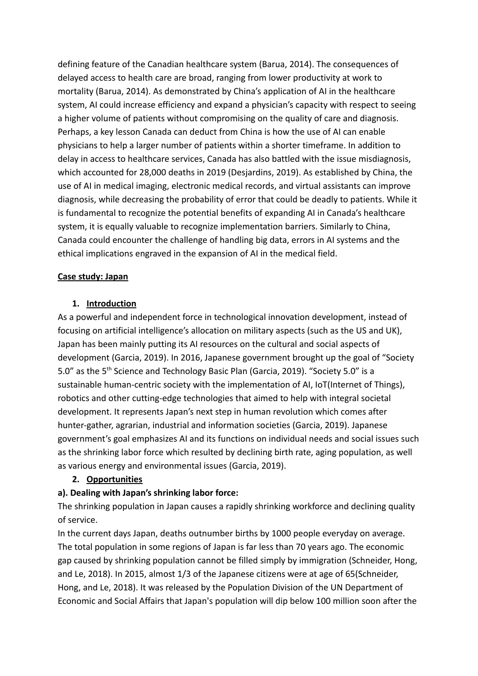defining feature of the Canadian healthcare system (Barua, 2014). The consequences of delayed access to health care are broad, ranging from lower productivity at work to mortality (Barua, 2014). As demonstrated by China's application of AI in the healthcare system, AI could increase efficiency and expand a physician's capacity with respect to seeing a higher volume of patients without compromising on the quality of care and diagnosis. Perhaps, a key lesson Canada can deduct from China is how the use of AI can enable physicians to help a larger number of patients within a shorter timeframe. In addition to delay in access to healthcare services, Canada has also battled with the issue misdiagnosis, which accounted for 28,000 deaths in 2019 (Desjardins, 2019). As established by China, the use of AI in medical imaging, electronic medical records, and virtual assistants can improve diagnosis, while decreasing the probability of error that could be deadly to patients. While it is fundamental to recognize the potential benefits of expanding AI in Canada's healthcare system, it is equally valuable to recognize implementation barriers. Similarly to China, Canada could encounter the challenge of handling big data, errors in AI systems and the ethical implications engraved in the expansion of AI in the medical field.

# **Case study: Japan**

#### **1. Introduction**

As a powerful and independent force in technological innovation development, instead of focusing on artificial intelligence's allocation on military aspects (such as the US and UK), Japan has been mainly putting its AI resources on the cultural and social aspects of development (Garcia, 2019). In 2016, Japanese government brought up the goal of "Society 5.0" as the 5<sup>th</sup> Science and Technology Basic Plan (Garcia, 2019). "Society 5.0" is a sustainable human-centric society with the implementation of AI, IoT(Internet of Things), robotics and other cutting-edge technologies that aimed to help with integral societal development. It represents Japan's next step in human revolution which comes after hunter-gather, agrarian, industrial and information societies (Garcia, 2019). Japanese government's goal emphasizes AI and its functions on individual needs and social issues such as the shrinking labor force which resulted by declining birth rate, aging population, as well as various energy and environmental issues (Garcia, 2019).

# **2. Opportunities**

# **a). Dealing with Japan's shrinking labor force:**

The shrinking population in Japan causes a rapidly shrinking workforce and declining quality of service.

In the current days Japan, deaths outnumber births by 1000 people everyday on average. The total population in some regions of Japan is far less than 70 years ago. The economic gap caused by shrinking population cannot be filled simply by immigration (Schneider, Hong, and Le, 2018). In 2015, almost 1/3 of the Japanese citizens were at age of 65(Schneider, Hong, and Le, 2018). It was released by the Population Division of the UN Department of Economic and Social Affairs that Japan's population will dip below 100 million soon after the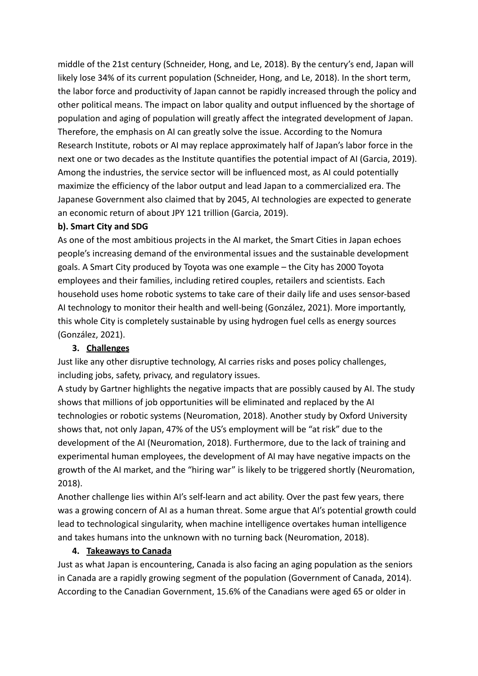middle of the 21st century (Schneider, Hong, and Le, 2018). By the century's end, Japan will likely lose 34% of its current population (Schneider, Hong, and Le, 2018). In the short term, the labor force and productivity of Japan cannot be rapidly increased through the policy and other political means. The impact on labor quality and output influenced by the shortage of population and aging of population will greatly affect the integrated development of Japan. Therefore, the emphasis on AI can greatly solve the issue. According to the Nomura Research Institute, robots or AI may replace approximately half of Japan's labor force in the next one or two decades as the Institute quantifies the potential impact of AI (Garcia, 2019). Among the industries, the service sector will be influenced most, as AI could potentially maximize the efficiency of the labor output and lead Japan to a commercialized era. The Japanese Government also claimed that by 2045, AI technologies are expected to generate an economic return of about JPY 121 trillion (Garcia, 2019).

#### **b). Smart City and SDG**

As one of the most ambitious projects in the AI market, the Smart Cities in Japan echoes people's increasing demand of the environmental issues and the sustainable development goals. A Smart City produced by Toyota was one example – the City has 2000 Toyota employees and their families, including retired couples, retailers and scientists. Each household uses home robotic systems to take care of their daily life and uses sensor-based AI technology to monitor their health and well-being (González, 2021). More importantly, this whole City is completely sustainable by using hydrogen fuel cells as energy sources (González, 2021).

# **3. Challenges**

Just like any other disruptive technology, AI carries risks and poses policy challenges, including jobs, safety, privacy, and regulatory issues.

A study by Gartner highlights the negative impacts that are possibly caused by AI. The study shows that millions of job opportunities will be eliminated and replaced by the AI technologies or robotic systems (Neuromation, 2018). Another study by Oxford University shows that, not only Japan, 47% of the US's employment will be "at risk" due to the development of the AI (Neuromation, 2018). Furthermore, due to the lack of training and experimental human employees, the development of AI may have negative impacts on the growth of the AI market, and the "hiring war" is likely to be triggered shortly (Neuromation, 2018).

Another challenge lies within AI's self-learn and act ability. Over the past few years, there was a growing concern of AI as a human threat. Some argue that AI's potential growth could lead to technological singularity, when machine intelligence overtakes human intelligence and takes humans into the unknown with no turning back (Neuromation, 2018).

#### **4. Takeaways to Canada**

Just as what Japan is encountering, Canada is also facing an aging population as the seniors in Canada are a rapidly growing segment of the population (Government of Canada, 2014). According to the Canadian Government, 15.6% of the Canadians were aged 65 or older in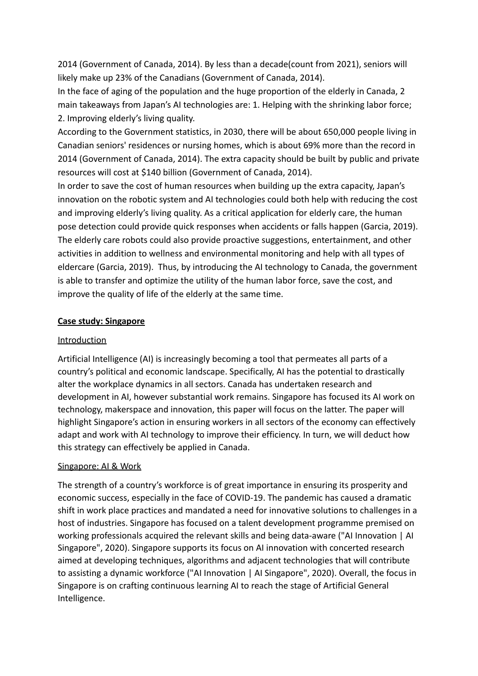2014 (Government of Canada, 2014). By less than a decade(count from 2021), seniors will likely make up 23% of the Canadians (Government of Canada, 2014).

In the face of aging of the population and the huge proportion of the elderly in Canada, 2 main takeaways from Japan's AI technologies are: 1. Helping with the shrinking labor force; 2. Improving elderly's living quality.

According to the Government statistics, in 2030, there will be about 650,000 people living in Canadian seniors' residences or nursing homes, which is about 69% more than the record in 2014 (Government of Canada, 2014). The extra capacity should be built by public and private resources will cost at \$140 billion (Government of Canada, 2014).

In order to save the cost of human resources when building up the extra capacity, Japan's innovation on the robotic system and AI technologies could both help with reducing the cost and improving elderly's living quality. As a critical application for elderly care, the human pose detection could provide quick responses when accidents or falls happen (Garcia, 2019). The elderly care robots could also provide proactive suggestions, entertainment, and other activities in addition to wellness and environmental monitoring and help with all types of eldercare (Garcia, 2019). Thus, by introducing the AI technology to Canada, the government is able to transfer and optimize the utility of the human labor force, save the cost, and improve the quality of life of the elderly at the same time.

# **Case study: Singapore**

#### Introduction

Artificial Intelligence (AI) is increasingly becoming a tool that permeates all parts of a country's political and economic landscape. Specifically, AI has the potential to drastically alter the workplace dynamics in all sectors. Canada has undertaken research and development in AI, however substantial work remains. Singapore has focused its AI work on technology, makerspace and innovation, this paper will focus on the latter. The paper will highlight Singapore's action in ensuring workers in all sectors of the economy can effectively adapt and work with AI technology to improve their efficiency. In turn, we will deduct how this strategy can effectively be applied in Canada.

# Singapore: AI & Work

The strength of a country's workforce is of great importance in ensuring its prosperity and economic success, especially in the face of COVID-19. The pandemic has caused a dramatic shift in work place practices and mandated a need for innovative solutions to challenges in a host of industries. Singapore has focused on a talent development programme premised on working professionals acquired the relevant skills and being data-aware ("AI Innovation | AI Singapore", 2020). Singapore supports its focus on AI innovation with concerted research aimed at developing techniques, algorithms and adjacent technologies that will contribute to assisting a dynamic workforce ("AI Innovation | AI Singapore", 2020). Overall, the focus in Singapore is on crafting continuous learning AI to reach the stage of Artificial General Intelligence.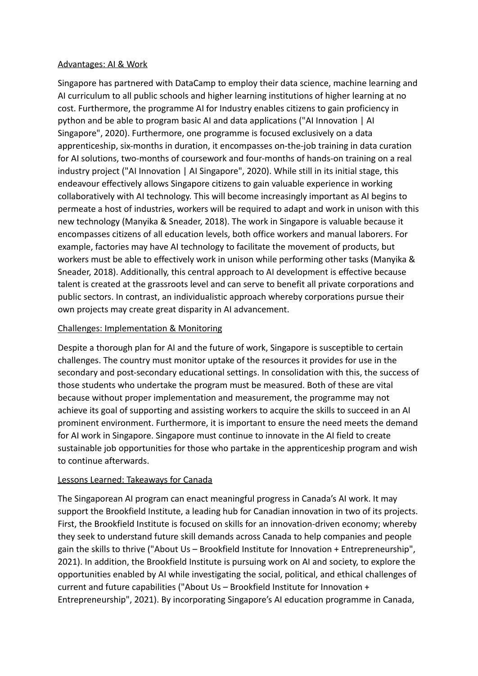#### Advantages: AI & Work

Singapore has partnered with DataCamp to employ their data science, machine learning and AI curriculum to all public schools and higher learning institutions of higher learning at no cost. Furthermore, the programme AI for Industry enables citizens to gain proficiency in python and be able to program basic AI and data applications ("AI Innovation | AI Singapore", 2020). Furthermore, one programme is focused exclusively on a data apprenticeship, six-months in duration, it encompasses on-the-job training in data curation for AI solutions, two-months of coursework and four-months of hands-on training on a real industry project ("AI Innovation | AI Singapore", 2020). While still in its initial stage, this endeavour effectively allows Singapore citizens to gain valuable experience in working collaboratively with AI technology. This will become increasingly important as AI begins to permeate a host of industries, workers will be required to adapt and work in unison with this new technology (Manyika & Sneader, 2018). The work in Singapore is valuable because it encompasses citizens of all education levels, both office workers and manual laborers. For example, factories may have AI technology to facilitate the movement of products, but workers must be able to effectively work in unison while performing other tasks (Manyika & Sneader, 2018). Additionally, this central approach to AI development is effective because talent is created at the grassroots level and can serve to benefit all private corporations and public sectors. In contrast, an individualistic approach whereby corporations pursue their own projects may create great disparity in AI advancement.

# Challenges: Implementation & Monitoring

Despite a thorough plan for AI and the future of work, Singapore is susceptible to certain challenges. The country must monitor uptake of the resources it provides for use in the secondary and post-secondary educational settings. In consolidation with this, the success of those students who undertake the program must be measured. Both of these are vital because without proper implementation and measurement, the programme may not achieve its goal of supporting and assisting workers to acquire the skills to succeed in an AI prominent environment. Furthermore, it is important to ensure the need meets the demand for AI work in Singapore. Singapore must continue to innovate in the AI field to create sustainable job opportunities for those who partake in the apprenticeship program and wish to continue afterwards.

# Lessons Learned: Takeaways for Canada

The Singaporean AI program can enact meaningful progress in Canada's AI work. It may support the Brookfield Institute, a leading hub for Canadian innovation in two of its projects. First, the Brookfield Institute is focused on skills for an innovation-driven economy; whereby they seek to understand future skill demands across Canada to help companies and people gain the skills to thrive ("About Us – Brookfield Institute for Innovation + Entrepreneurship", 2021). In addition, the Brookfield Institute is pursuing work on AI and society, to explore the opportunities enabled by AI while investigating the social, political, and ethical challenges of current and future capabilities ("About Us – Brookfield Institute for Innovation + Entrepreneurship", 2021). By incorporating Singapore's AI education programme in Canada,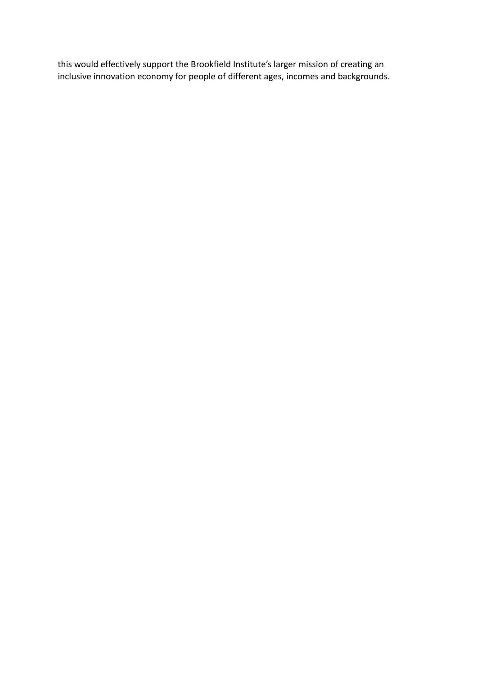this would effectively support the Brookfield Institute's larger mission of creating an inclusive innovation economy for people of different ages, incomes and backgrounds.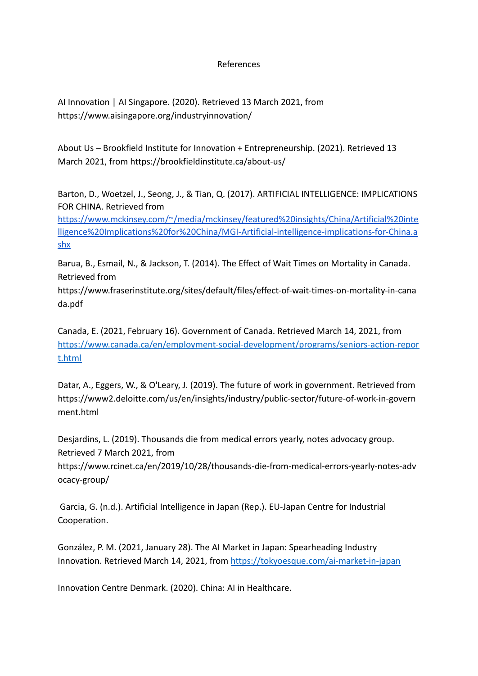References

AI Innovation | AI Singapore. (2020). Retrieved 13 March 2021, from https://www.aisingapore.org/industryinnovation/

About Us – Brookfield Institute for Innovation + Entrepreneurship. (2021). Retrieved 13 March 2021, from https://brookfieldinstitute.ca/about-us/

Barton, D., Woetzel, J., Seong, J., & Tian, Q. (2017). ARTIFICIAL INTELLIGENCE: IMPLICATIONS FOR CHINA. Retrieved from

[https://www.mckinsey.com/~/media/mckinsey/featured%20insights/China/Artificial%20inte](https://www.mckinsey.com/~/media/mckinsey/featured%20insights/China/Artificial%20intelligence%20Implications%20for%20China/MGI-Artificial-intelligence-implications-for-China.ashx) [lligence%20Implications%20for%20China/MGI-Artificial-intelligence-implications-for-China.a](https://www.mckinsey.com/~/media/mckinsey/featured%20insights/China/Artificial%20intelligence%20Implications%20for%20China/MGI-Artificial-intelligence-implications-for-China.ashx) [shx](https://www.mckinsey.com/~/media/mckinsey/featured%20insights/China/Artificial%20intelligence%20Implications%20for%20China/MGI-Artificial-intelligence-implications-for-China.ashx)

Barua, B., Esmail, N., & Jackson, T. (2014). The Effect of Wait Times on Mortality in Canada. Retrieved from

https://www.fraserinstitute.org/sites/default/files/effect-of-wait-times-on-mortality-in-cana da.pdf

Canada, E. (2021, February 16). Government of Canada. Retrieved March 14, 2021, from [https://www.canada.ca/en/employment-social-development/programs/seniors-action-repor](https://www.canada.ca/en/employment-social-development/programs/seniors-action-report.html) [t.html](https://www.canada.ca/en/employment-social-development/programs/seniors-action-report.html)

Datar, A., Eggers, W., & O'Leary, J. (2019). The future of work in government. Retrieved from https://www2.deloitte.com/us/en/insights/industry/public-sector/future-of-work-in-govern ment.html

Desjardins, L. (2019). Thousands die from medical errors yearly, notes advocacy group. Retrieved 7 March 2021, from

https://www.rcinet.ca/en/2019/10/28/thousands-die-from-medical-errors-yearly-notes-adv ocacy-group/

Garcia, G. (n.d.). Artificial Intelligence in Japan (Rep.). EU-Japan Centre for Industrial Cooperation.

González, P. M. (2021, January 28). The AI Market in Japan: Spearheading Industry Innovation. Retrieved March 14, 2021, from [https://tokyoesque.com/ai-market-in-japan](https://tokyoesque.com/ai-market-in-japan/)

Innovation Centre Denmark. (2020). China: AI in Healthcare.